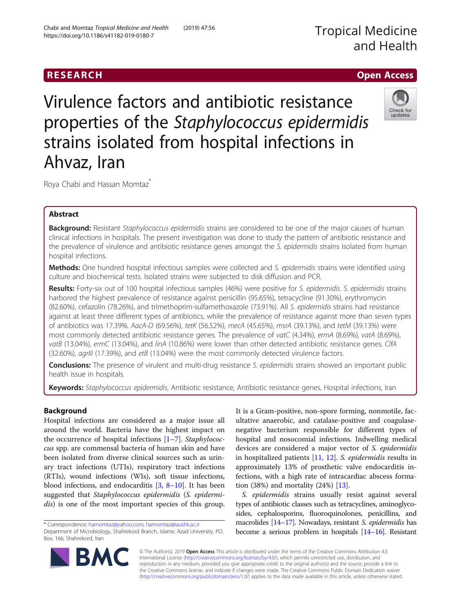# RESEARCH **RESEARCH CHOOSE ACCESS**

Virulence factors and antibiotic resistance properties of the Staphylococcus epidermidis strains isolated from hospital infections in Ahvaz, Iran



Roya Chabi and Hassan Momtaz<sup>\*</sup>

# Abstract

Background: Resistant Staphylococcus epidermidis strains are considered to be one of the major causes of human clinical infections in hospitals. The present investigation was done to study the pattern of antibiotic resistance and the prevalence of virulence and antibiotic resistance genes amongst the S. epidermidis strains isolated from human hospital infections.

Methods: One hundred hospital infectious samples were collected and S. epidermidis strains were identified using culture and biochemical tests. Isolated strains were subjected to disk diffusion and PCR.

Results: Forty-six out of 100 hospital infectious samples (46%) were positive for S. epidermidis. S. epidermidis strains harbored the highest prevalence of resistance against penicillin (95.65%), tetracycline (91.30%), erythromycin (82.60%), cefazolin (78.26%), and trimethoprim-sulfamethoxazole (73.91%). All S. epidermidis strains had resistance against at least three different types of antibiotics, while the prevalence of resistance against more than seven types of antibiotics was 17.39%. AacA-D (69.56%), tetK (56.52%), mecA (45.65%), msrA (39.13%), and tetM (39.13%) were most commonly detected antibiotic resistance genes. The prevalence of vatC (4.34%), ermA (8.69%), vatA (8.69%), vatB (13.04%), ermC (13.04%), and linA (10.86%) were lower than other detected antibiotic resistance genes. ClfA (32.60%), agrIII (17.39%), and etB (13.04%) were the most commonly detected virulence factors.

Conclusions: The presence of virulent and multi-drug resistance S. epidermidis strains showed an important public health issue in hospitals.

Keywords: Staphylococcus epidermidis, Antibiotic resistance, Antibiotic resistance genes, Hospital infections, Iran

# Background

Hospital infections are considered as a major issue all around the world. Bacteria have the highest impact on the occurrence of hospital infections [[1](#page-6-0)–[7\]](#page-7-0). Staphylococcus spp. are commensal bacteria of human skin and have been isolated from diverse clinical sources such as urinary tract infections (UTIs), respiratory tract infections (RTIs), wound infections (WIs), soft tissue infections, blood infections, and endocarditis  $[3, 8-10]$  $[3, 8-10]$  $[3, 8-10]$  $[3, 8-10]$  $[3, 8-10]$  $[3, 8-10]$  $[3, 8-10]$ . It has been suggested that Staphylococcus epidermidis (S. epidermidis) is one of the most important species of this group.

**BM** 

It is a Gram-positive, non-spore forming, nonmotile, facultative anaerobic, and catalase-positive and coagulasenegative bacterium responsible for different types of hospital and nosocomial infections. Indwelling medical devices are considered a major vector of S. epidermidis in hospitalized patients [\[11](#page-7-0), [12](#page-7-0)]. S. epidermidis results in approximately 13% of prosthetic valve endocarditis infections, with a high rate of intracardiac abscess formation (38%) and mortality (24%) [\[13\]](#page-7-0).

S. epidermidis strains usually resist against several types of antibiotic classes such as tetracyclines, aminoglycosides, cephalosporins, fluoroquinolones, penicillins, and macrolides [\[14](#page-7-0)–[17\]](#page-7-0). Nowadays, resistant S. epidermidis has become a serious problem in hospitals [[14](#page-7-0)–[16](#page-7-0)]. Resistant



<sup>\*</sup> Correspondence: [hamomtaz@yahoo.com](mailto:hamomtaz@yahoo.com); [hamomtaz@iaushk.ac.ir](mailto:hamomtaz@iaushk.ac.ir) Department of Microbiology, Shahrekord Branch, Islamic Azad University, PO. Box: 166, Shahrekord, Iran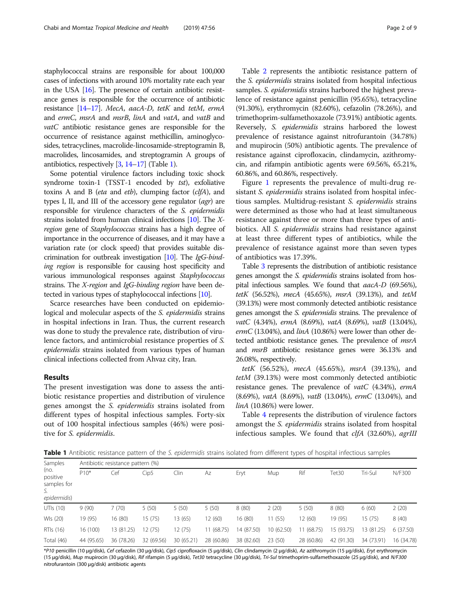<span id="page-1-0"></span>staphylococcal strains are responsible for about 100,000 cases of infections with around 10% mortality rate each year in the USA [\[16\]](#page-7-0). The presence of certain antibiotic resistance genes is responsible for the occurrence of antibiotic resistance [[14](#page-7-0)–[17](#page-7-0)]. MecA, aacA-D, tetK and tetM, ermA and ermC, msrA and msrB, linA and vatA, and vatB and vatC antibiotic resistance genes are responsible for the occurrence of resistance against methicillin, aminoglycosides, tetracyclines, macrolide-lincosamide-streptogramin B, macrolides, lincosamides, and streptogramin A groups of antibiotics, respectively [\[3,](#page-6-0) [14](#page-7-0)–[17](#page-7-0)] (Table 1).

Some potential virulence factors including toxic shock syndrome toxin-1 (TSST-1 encoded by tst), exfoliative toxins A and B (eta and etb), clumping factor  $(clfA)$ , and types I, II, and III of the accessory gene regulator  $(agr)$  are responsible for virulence characters of the S. epidermidis strains isolated from human clinical infections [\[10](#page-7-0)]. The Xregion gene of Staphylococcus strains has a high degree of importance in the occurrence of diseases, and it may have a variation rate (or clock speed) that provides suitable discrimination for outbreak investigation [\[10](#page-7-0)]. The IgG-binding region is responsible for causing host specificity and various immunological responses against Staphylococcus strains. The X-region and IgG-binding region have been detected in various types of staphylococcal infections [\[10\]](#page-7-0).

Scarce researches have been conducted on epidemiological and molecular aspects of the S. epidermidis strains in hospital infections in Iran. Thus, the current research was done to study the prevalence rate, distribution of virulence factors, and antimicrobial resistance properties of S. epidermidis strains isolated from various types of human clinical infections collected from Ahvaz city, Iran.

# Results

The present investigation was done to assess the antibiotic resistance properties and distribution of virulence genes amongst the S. epidermidis strains isolated from different types of hospital infectious samples. Forty-six out of 100 hospital infectious samples (46%) were positive for S. epidermidis.

Table [2](#page-2-0) represents the antibiotic resistance pattern of the S. epidermidis strains isolated from hospital infectious samples. S. *epidermidis* strains harbored the highest prevalence of resistance against penicillin (95.65%), tetracycline (91.30%), erythromycin (82.60%), cefazolin (78.26%), and trimethoprim-sulfamethoxazole (73.91%) antibiotic agents. Reversely, S. epidermidis strains harbored the lowest prevalence of resistance against nitrofurantoin (34.78%) and mupirocin (50%) antibiotic agents. The prevalence of resistance against ciprofloxacin, clindamycin, azithromycin, and rifampin antibiotic agents were 69.56%, 65.21%, 60.86%, and 60.86%, respectively.

Figure [1](#page-2-0) represents the prevalence of multi-drug resistant S. epidermidis strains isolated from hospital infectious samples. Multidrug-resistant S. epidermidis strains were determined as those who had at least simultaneous resistance against three or more than three types of antibiotics. All S. epidermidis strains had resistance against at least three different types of antibiotics, while the prevalence of resistance against more than seven types of antibiotics was 17.39%.

Table [3](#page-3-0) represents the distribution of antibiotic resistance genes amongst the S. epidermidis strains isolated from hospital infectious samples. We found that aacA-D (69.56%), tetK (56.52%), mecA (45.65%), msrA (39.13%), and tetM (39.13%) were most commonly detected antibiotic resistance genes amongst the S. epidermidis strains. The prevalence of vatC (4.34%), ermA (8.69%), vatA (8.69%), vatB (13.04%),  $ermC$  (13.04%), and  $linA$  (10.86%) were lower than other detected antibiotic resistance genes. The prevalence of msrA and msrB antibiotic resistance genes were 36.13% and 26.08%, respectively.

tetK (56.52%), mecA (45.65%), msrA (39.13%), and tetM (39.13%) were most commonly detected antibiotic resistance genes. The prevalence of vatC (4.34%), ermA (8.69%), vatA (8.69%), vatB (13.04%), ermC (13.04%), and linA (10.86%) were lower.

Table [4](#page-4-0) represents the distribution of virulence factors amongst the S. epidermidis strains isolated from hospital infectious samples. We found that *clfA* (32.60%), *agrIII* 

Table 1 Antibiotic resistance pattern of the S. epidermidis strains isolated from different types of hospital infectious samples

| Samples<br>(no.<br>positive<br>samples for<br>S.<br>epidermidis) | Antibiotic resistance pattern (%) |            |            |            |            |            |           |            |            |            |            |  |
|------------------------------------------------------------------|-----------------------------------|------------|------------|------------|------------|------------|-----------|------------|------------|------------|------------|--|
|                                                                  | $P10*$                            | Cef        | Cip5       | Clin       | Az         | Eryt       | Mup       | Rif        | Tet30      | Tri-Sul    | N/F300     |  |
| UTIs (10)                                                        | 9(90)                             | 7(70)      | 5(50)      | 5(50)      | 5(50)      | 8(80)      | 2(20)     | 5(50)      | 8(80)      | 6(60)      | 2(20)      |  |
| WIs (20)                                                         | 19 (95)                           | 16 (80)    | 15 (75)    | 13 (65)    | 12 (60)    | 16 (80)    | 11(55)    | 12(60)     | 19 (95)    | 15(75)     | 8(40)      |  |
| RTIs (16)                                                        | 16 (100)                          | 13 (81.25) | 12 (75)    | 12 (75)    | 11 (68.75) | 14 (87.50) | 10(62.50) | (68.75)    | 15 (93.75) | 13 (81.25) | 6(37.50)   |  |
| Total (46)                                                       | 44 (95.65)                        | 36 (78.26) | 32 (69.56) | 30 (65.21) | 28 (60.86) | 38 (82.60) | 23(50)    | 28 (60.86) | 42 (91.30) | 34 (73.91) | 16 (34.78) |  |

\*P10 penicillin (10 μg/disk), Cef cefazolin (30 μg/disk), Cip5 ciprofloxacin (5 μg/disk), Clin clindamycin (2 μg/disk), Az azithromycin (15 μg/disk), Eryt erythromycin (15 μg/disk), Mup mupirocin (30 μg/disk), Rif rifampin (5 μg/disk), Tet30 tetracycline (30 μg/disk), Tri-Sul trimethoprim-sulfamethoxazole (25 μg/disk), and N/F300 nitrofurantoin (300 μg/disk) antibiotic agents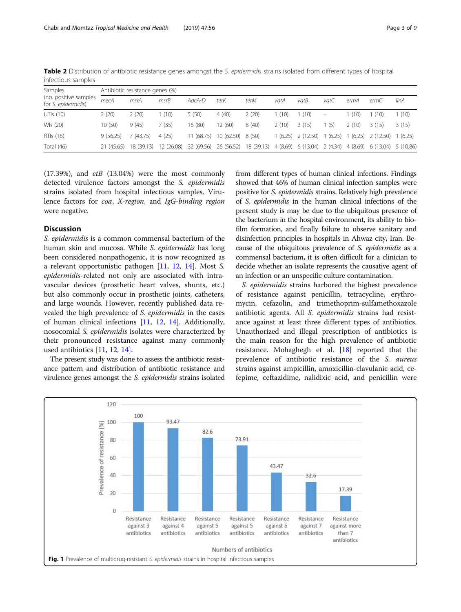| Samples<br>(no. positive samples<br>for S. epidermidis) | Antibiotic resistance genes (%) |                       |        |            |                                                                                |       |       |                                |                          |         |           |        |
|---------------------------------------------------------|---------------------------------|-----------------------|--------|------------|--------------------------------------------------------------------------------|-------|-------|--------------------------------|--------------------------|---------|-----------|--------|
|                                                         | mecA                            | msrA                  | msrB   | AacA-D     | tetK                                                                           | tetM  | vatA  | vatB                           | vatC                     | ermA    | ermC      | linA   |
| UTIs (10)                                               | 2(20)                           | 2(20)                 | 1 (10) | 5(50)      | 4(40)                                                                          | 2(20) | (10)  | (10)                           | $\overline{\phantom{m}}$ | 1(10)   | (10)      | (10)   |
| WIs (20)                                                | 10(50)                          | 9(45)                 | 7(35)  | 16(80)     | 12(60)                                                                         | 8(40) | 2(10) | 3(15)                          | (5)                      | 2(10)   | 3(15)     | 3(15)  |
| RTIs (16)                                               | 9(56.25)                        | (43.75)               | 4(25)  | 11(68.75)  | $10(62.50)$ 8 (50)                                                             |       |       | $1(6.25)$ $2(12.50)$ $1(6.25)$ |                          | 1(6.25) | 2 (12.50) | (6.25) |
| Total (46)                                              | 21 (45.65)                      | 18 (39.13) 12 (26.08) |        | 32 (69.56) | 26 (56.52) 18 (39.13) 4 (8.69) 6 (13.04) 2 (4.34) 4 (8.69) 6 (13.04) 5 (10.86) |       |       |                                |                          |         |           |        |

<span id="page-2-0"></span>Table 2 Distribution of antibiotic resistance genes amongst the S. epidermidis strains isolated from different types of hospital infectious samples

 $(17.39%)$ , and  $etB$   $(13.04%)$  were the most commonly detected virulence factors amongst the S. epidermidis strains isolated from hospital infectious samples. Virulence factors for coa, X-region, and IgG-binding region were negative.

# **Discussion**

S. epidermidis is a common commensal bacterium of the human skin and mucosa. While S. epidermidis has long been considered nonpathogenic, it is now recognized as a relevant opportunistic pathogen [\[11](#page-7-0), [12](#page-7-0), [14\]](#page-7-0). Most S. epidermidis-related not only are associated with intravascular devices (prosthetic heart valves, shunts, etc.) but also commonly occur in prosthetic joints, catheters, and large wounds. However, recently published data revealed the high prevalence of S. epidermidis in the cases of human clinical infections [[11](#page-7-0), [12](#page-7-0), [14](#page-7-0)]. Additionally, nosocomial S. epidermidis isolates were characterized by their pronounced resistance against many commonly used antibiotics [[11,](#page-7-0) [12](#page-7-0), [14](#page-7-0)].

The present study was done to assess the antibiotic resistance pattern and distribution of antibiotic resistance and virulence genes amongst the S. epidermidis strains isolated from different types of human clinical infections. Findings showed that 46% of human clinical infection samples were positive for S. epidermidis strains. Relatively high prevalence of S. epidermidis in the human clinical infections of the present study is may be due to the ubiquitous presence of the bacterium in the hospital environment, its ability to biofilm formation, and finally failure to observe sanitary and disinfection principles in hospitals in Ahwaz city, Iran. Because of the ubiquitous prevalence of S. epidermidis as a commensal bacterium, it is often difficult for a clinician to decide whether an isolate represents the causative agent of an infection or an unspecific culture contamination.

S. epidermidis strains harbored the highest prevalence of resistance against penicillin, tetracycline, erythromycin, cefazolin, and trimethoprim-sulfamethoxazole antibiotic agents. All S. epidermidis strains had resistance against at least three different types of antibiotics. Unauthorized and illegal prescription of antibiotics is the main reason for the high prevalence of antibiotic resistance. Mohaghegh et al. [[18\]](#page-7-0) reported that the prevalence of antibiotic resistance of the S. aureus strains against ampicillin, amoxicillin-clavulanic acid, cefepime, ceftazidime, nalidixic acid, and penicillin were

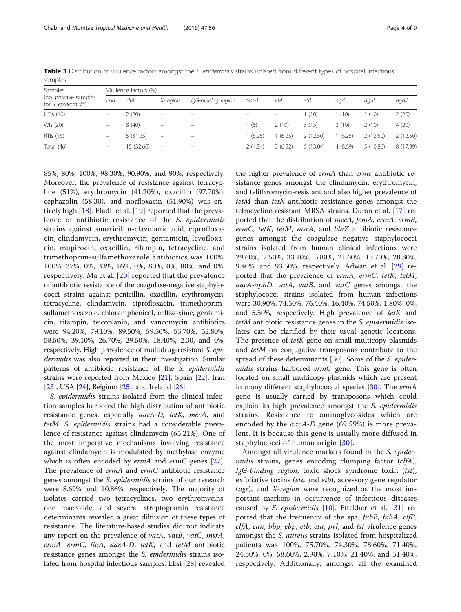| Samples                                      | Virulence factors (%)    |            |                          |                         |          |         |          |         |          |           |  |
|----------------------------------------------|--------------------------|------------|--------------------------|-------------------------|----------|---------|----------|---------|----------|-----------|--|
| (no. positive samples<br>for S. epidermidis) | coa                      | clfA       | X-region                 | lgG-binding region      | tsst-1   | etA     | etB      | agrl    | agrll    | agrill    |  |
| UTIs (10)                                    |                          | 2(20)      | -                        | -                       |          | -       | 1(10)    | 1 (10)  | (10)     | 2(20)     |  |
| WIs (20)                                     |                          | 8(40)      | -                        |                         | 1(5)     | 2(10)   | 3(15)    | 2(10)   | 2(10)    | 4(20)     |  |
| RTIs (16)                                    | $\overline{\phantom{0}}$ | 5(31.25)   | -                        | -                       | 1 (6.25) | (6.25)  | 2(12.50) | (6.25)  | 2(12.50) | 2(12.50)  |  |
| Total (46)                                   | -                        | 15 (32.60) | $\overline{\phantom{m}}$ | $\qquad \qquad \  \, -$ | 2(4.34)  | 3(6.52) | 6(13.04) | 4(8.69) | 5(10.86) | 8 (17.39) |  |

<span id="page-3-0"></span>Table 3 Distribution of virulence factors amongst the S. epidermidis strains isolated from different types of hospital infectious samples

85%, 80%, 100%, 98.30%, 90.90%, and 90%, respectively. Moreover, the prevalence of resistance against tetracycline (51%), erythromycin (41.20%), oxacillin (97.70%), cephazolin (58.30), and norfloxacin (51.90%) was entirely high [[18](#page-7-0)]. Eladli et al. [[19\]](#page-7-0) reported that the prevalence of antibiotic resistance of the S. epidermidis strains against amoxicillin-clavulanic acid, ciprofloxacin, clindamycin, erythromycin, gentamicin, levofloxacin, mupirocin, oxacillin, rifampin, tetracycline, and trimethoprim-sulfamethoxazole antibiotics was 100%, 100%, 37%, 0%, 33%, 16%, 0%, 80%, 0%, 80%, and 0%, respectively. Ma et al. [\[20\]](#page-7-0) reported that the prevalence of antibiotic resistance of the coagulase-negative staphylococci strains against penicillin, oxacillin, erythromycin, tetracycline, clindamycin, ciprofloxacin, trimethoprimsulfamethoxazole, chloramphenicol, ceftizoxime, gentamicin, rifampin, teicoplanin, and vancomycin antibiotics were 94.20%, 79.10%, 89.50%, 59.50%, 53.70%, 52.80%, 58.50%, 39.10%, 26.70%, 29.50%, 18.40%, 2.30, and 0%, respectively. High prevalence of multidrug-resistant S. epidermidis was also reported in their investigation. Similar patterns of antibiotic resistance of the S. epidermidis strains were reported from Mexico [[21](#page-7-0)], Spain [\[22](#page-7-0)], Iran [[23](#page-7-0)], USA [[24](#page-7-0)], Belgium [[25](#page-7-0)], and Ireland [[26](#page-7-0)].

S. epidermidis strains isolated from the clinical infection samples harbored the high distribution of antibiotic resistance genes, especially aacA-D, tetK, mecA, and tetM. S. epidermidis strains had a considerable prevalence of resistance against clindamycin (65.21%). One of the most imperative mechanisms involving resistance against clindamycin is modulated by methylase enzyme which is often encoded by *ermA* and *ermC* genes [\[27](#page-7-0)]. The prevalence of *ermA* and *ermC* antibiotic resistance genes amongst the S. epidermidis strains of our research were 8.69% and 10.86%, respectively. The majority of isolates carried two tetracyclines, two erythromycins, one macrolide, and several streptogramin resistance determinants revealed a great diffusion of these types of resistance. The literature-based studies did not indicate any report on the prevalence of *vatA*, *vatB*, *vatC*, *msrA*, ermA, ermC, linA, aacA-D, tetK, and tetM antibiotic resistance genes amongst the S. epidermidis strains isolated from hospital infectious samples. Eksi [[28\]](#page-7-0) revealed

the higher prevalence of ermA than ermc antibiotic resistance genes amongst the clindamycin, erythromycin, and telithromycin-resistant and also higher prevalence of tetM than tetK antibiotic resistance genes amongst the tetracycline-resistant MRSA strains. Duran et al. [[17\]](#page-7-0) reported that the distribution of mecA, femA, ermA, ermB, ermC, tetK, tetM, msrA, and blaZ antibiotic resistance genes amongst the coagulase negative staphylococci strains isolated from human clinical infections were 29.60%, 7.50%, 33.10%, 5.80%, 21.60%, 13.70%, 28.80%, 9.40%, and 93.50%, respectively. Adwan et al. [\[29\]](#page-7-0) reported that the prevalence of ermA, ermC, tetK, tetM, aacA-aphD, vatA, vatB, and vatC genes amongst the staphylococci strains isolated from human infections were 30.90%, 74.50%, 76.40%, 16.40%, 74.50%, 1.80%, 0%, and 5.50%, respectively. High prevalence of tetK and tetM antibiotic resistance genes in the S. epidermidis isolates can be clarified by their usual genetic locations. The presence of *tetK* gene on small multicopy plasmids and tetM on conjugative transposons contribute to the spread of these determinants [\[30](#page-7-0)]. Some of the S. epider $midis$  strains harbored  $ermC$  gene. This gene is often located on small multicopy plasmids which are present in many different staphylococcal species [[30\]](#page-7-0). The ermA gene is usually carried by transposons which could explain its high prevalence amongst the S. epidermidis strains. Resistance to aminoglycosides which are encoded by the *aacA-D* gene (69.59%) is more prevalent. It is because this gene is usually more diffused in staphylococci of human origin [[30](#page-7-0)].

Amongst all virulence markers found in the S. epidermidis strains, genes encoding clumping factor (clfA), IgG-binding region, toxic shock syndrome toxin (tst), exfoliative toxins (eta and etb), accessory gene regulator (agr), and  $X$ -region were recognized as the most important markers in occurrence of infectious diseases caused by S. *epidermidis*  $[10]$  $[10]$ . Eftekhar et al.  $[31]$  $[31]$  reported that the frequency of the spa, *fnbB*, *fnbA*, *clfB*, clfA, can, bbp, ebp, etb, eta, pvl, and tst virulence genes amongst the *S. aureus* strains isolated from hospitalized patients was 100%, 75.70%, 74.30%, 78.60%, 71.40%, 24.30%, 0%, 58.60%, 2.90%, 7.10%, 21.40%, and 51.40%, respectively. Additionally, amongst all the examined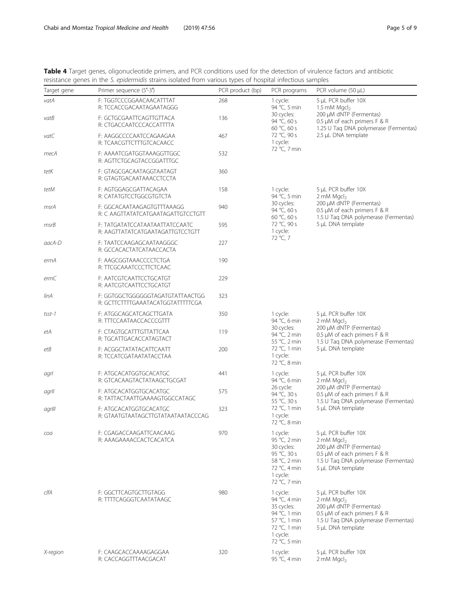<span id="page-4-0"></span>

| Table 4 Target genes, oligonucleotide primers, and PCR conditions used for the detection of virulence factors and antibiotic |  |  |  |
|------------------------------------------------------------------------------------------------------------------------------|--|--|--|
| resistance genes in the S. epidermidis strains isolated from various types of hospital infectious samples                    |  |  |  |

| Target gene | Primer sequence (5'-3')                                              | PCR product (bp) | PCR programs                                                                                                       | PCR volume (50 µL)                                                                                                                                                    |  |  |
|-------------|----------------------------------------------------------------------|------------------|--------------------------------------------------------------------------------------------------------------------|-----------------------------------------------------------------------------------------------------------------------------------------------------------------------|--|--|
| vatA        | F: TGGTCCCGGAACAACATTTAT<br>R: TCCACCGACAATAGAATAGGG                 | 268              | 1 cycle:<br>94 °C, 5 min                                                                                           | 5 µL PCR buffer 10X<br>1.5 mM $Mqcl2$                                                                                                                                 |  |  |
| vatB        | F: GCTGCGAATTCAGTTGTTACA<br>R: CTGACCAATCCCACCATTTTA                 | 136              | 30 cycles:<br>94 °C, 60 s<br>60 °C, 60 s                                                                           | 200 µM dNTP (Fermentas)<br>0.5 µM of each primers F & R<br>1.25 U Tag DNA polymerase (Fermentas)                                                                      |  |  |
| vatC        | F: AAGGCCCCAATCCAGAAGAA<br>R: TCAACGTTCTTTGTCACAACC                  | 467              | 72 °C, 90 s<br>1 cycle:                                                                                            | 2.5 µL DNA template                                                                                                                                                   |  |  |
| mecA        | F: AAAATCGATGGTAAAGGTTGGC<br>R: AGTTCTGCAGTACCGGATTTGC               | 532              | 72 °C, 7 min                                                                                                       |                                                                                                                                                                       |  |  |
| tetK        | F: GTAGCGACAATAGGTAATAGT<br>R: GTAGTGACAATAAACCTCCTA                 | 360              |                                                                                                                    |                                                                                                                                                                       |  |  |
| tetM        | F: AGTGGAGCGATTACAGAA<br>R: CATATGTCCTGGCGTGTCTA                     | 158              | 1 cycle:<br>94 °C, 5 min                                                                                           | 5 µL PCR buffer 10X<br>2 mM $Mqcl2$                                                                                                                                   |  |  |
| msrA        | F: GGCACAATAAGAGTGTTTAAAGG<br>R: C AAGTTATATCATGAATAGATTGTCCTGTT     | 940              | 30 cycles:<br>94 °C, 60 s<br>60 °C, 60 s                                                                           | 200 µM dNTP (Fermentas)<br>0.5 µM of each primers F & R                                                                                                               |  |  |
| msrB        | F: TATGATATCCATAATAATTATCCAATC<br>R: AAGTTATATCATGAATAGATTGTCCTGTT   | 595              | 72 °C, 90 s<br>1 cycle:                                                                                            | 1.5 U Tag DNA polymerase (Fermentas)<br>5 µL DNA template                                                                                                             |  |  |
| aacA-D      | F: TAATCCAAGAGCAATAAGGGC<br>R: GCCACACTATCATAACCACTA                 | 227              | 72 °C, 7                                                                                                           |                                                                                                                                                                       |  |  |
| ermA        | F: AAGCGGTAAACCCCTCTGA<br>R: TTCGCAAATCCCTTCTCAAC                    | 190              |                                                                                                                    |                                                                                                                                                                       |  |  |
| ermC        | F: AATCGTCAATTCCTGCATGT<br>R: AATCGTCAATTCCTGCATGT                   | 229              |                                                                                                                    |                                                                                                                                                                       |  |  |
| linA        | F: GGTGGCTGGGGGGTAGATGTATTAACTGG<br>R: GCTTCTTTTGAAATACATGGTATTTTCGA | 323              |                                                                                                                    |                                                                                                                                                                       |  |  |
| $t$ sst-1   | F: ATGGCAGCATCAGCTTGATA<br>R: TTTCCAATAACCACCCGTTT                   | 350              | 1 cycle:<br>94 °C, 6 min                                                                                           | 5 µL PCR buffer 10X<br>2 mM $Mqcl2$                                                                                                                                   |  |  |
| etA         | F: CTAGTGCATTTGTTATTCAA<br>R: TGCATTGACACCATAGTACT                   | 119              | 30 cycles:<br>94 °C, 2 min<br>55 °C, 2 min                                                                         | 200 µM dNTP (Fermentas)<br>0.5 µM of each primers F & R<br>1.5 U Taq DNA polymerase (Fermentas)                                                                       |  |  |
| etB         | F: ACGGCTATATACATTCAATT<br>R: TCCATCGATAATATACCTAA                   | 200              | 72 °C, 1 min<br>1 cycle:<br>72 °C, 8 min                                                                           | 5 µL DNA template                                                                                                                                                     |  |  |
| agrl        | F: ATGCACATGGTGCACATGC<br>R: GTCACAAGTACTATAAGCTGCGAT                | 441              | 1 cycle:<br>94 °C, 6 min                                                                                           | 5 µL PCR buffer 10X<br>2 mM $Mqcl2$                                                                                                                                   |  |  |
| agrll       | F: ATGCACATGGTGCACATGC<br>R: TATTACTAATTGAAAAGTGGCCATAGC             | 575              | 26 cycle:<br>94 °C, 30 s<br>55 °C, 30 s                                                                            | 200 µM dNTP (Fermentas)<br>0.5 µM of each primers F & R<br>1.5 U Taq DNA polymerase (Fermentas)                                                                       |  |  |
| agrill      | F: ATGCACATGGTGCACATGC<br>R: GTAATGTAATAGCTTGTATAATAATACCCAG         | 323              | 72 °C, 1 min<br>1 cycle:<br>72 °C, 8 min                                                                           | 5 µL DNA template                                                                                                                                                     |  |  |
| coa         | F: CGAGACCAAGATTCAACAAG<br>R: AAAGAAAACCACTCACATCA                   | 970              | 1 cycle:<br>95 °C, 2 min<br>30 cycles:<br>95 °C, 30 s<br>58 °C, 2 min<br>72 °C, 4 min<br>1 cycle:<br>72 °C, 7 min  | 5 µL PCR buffer 10X<br>2 mM $Mqcl2$<br>200 µM dNTP (Fermentas)<br>0.5 µM of each primers F & R<br>1.5 U Tag DNA polymerase (Fermentas)<br>5 µL DNA template           |  |  |
| clfA        | F: GGCTTCAGTGCTTGTAGG<br>R: TTTTCAGGGTCAATATAAGC                     | 980              | 1 cycle:<br>94 °C, 4 min<br>35 cycles:<br>94 °C, 1 min<br>57 °C, 1 min<br>72 °C, 1 min<br>1 cycle:<br>72 °C, 5 min | 5 µL PCR buffer 10X<br>2 mM Mgcl <sub>2</sub><br>200 µM dNTP (Fermentas)<br>0.5 µM of each primers F & R<br>1.5 U Taq DNA polymerase (Fermentas)<br>5 µL DNA template |  |  |
| X-region    | F: CAAGCACCAAAAGAGGAA<br>R: CACCAGGTTTAACGACAT                       | 320              | 1 cycle:<br>95 °C, 4 min                                                                                           | 5 µL PCR buffer 10X<br>2 mM $Mqcl2$                                                                                                                                   |  |  |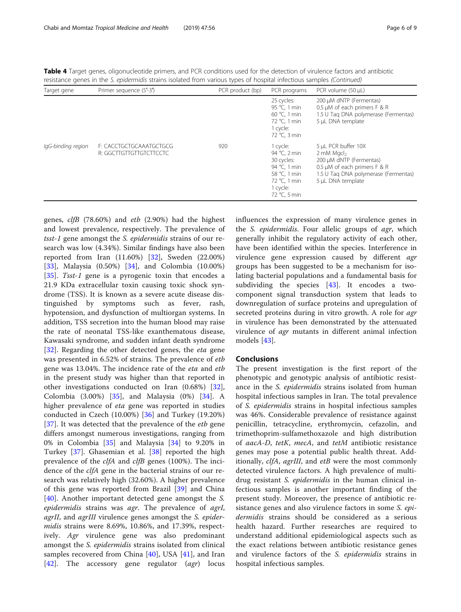Table 4 Target genes, oligonucleotide primers, and PCR conditions used for the detection of virulence factors and antibiotic resistance genes in the S. epidermidis strains isolated from various types of hospital infectious samples (Continued)

| Target gene        | Primer sequence (5'-3')                            | PCR product (bp) | PCR programs                                                                                                       | PCR volume (50 µL)                                                                                                                                                               |
|--------------------|----------------------------------------------------|------------------|--------------------------------------------------------------------------------------------------------------------|----------------------------------------------------------------------------------------------------------------------------------------------------------------------------------|
|                    |                                                    |                  | 25 cycles:<br>95 °C. 1 min<br>60 °C, 1 min<br>72 °C, 1 min<br>1 cycle:<br>72 °C, 3 min                             | 200 µM dNTP (Fermentas)<br>0.5 µM of each primers F & R<br>1.5 U Tag DNA polymerase (Fermentas)<br>5 µL DNA template                                                             |
| lgG-binding region | F: CACCTGCTGCAAATGCTGCG<br>R: GGCTTGTTGTTGTCTTCCTC | 920              | 1 cycle:<br>94 °C, 2 min<br>30 cycles:<br>94 °C. 1 min<br>58 °C, 1 min<br>72 °C, 1 min<br>1 cycle:<br>72 °C, 5 min | 5 µL PCR buffer 10X<br>$2 \text{ mM }$ Mgcl <sub>2</sub><br>200 µM dNTP (Fermentas)<br>0.5 µM of each primers F & R<br>1.5 U Tag DNA polymerase (Fermentas)<br>5 µL DNA template |

genes,  $\text{clfB}$  (78.60%) and  $\text{etb}$  (2.90%) had the highest and lowest prevalence, respectively. The prevalence of tsst-1 gene amongst the S. epidermidis strains of our research was low (4.34%). Similar findings have also been reported from Iran (11.60%) [[32\]](#page-7-0), Sweden (22.00%) [[33\]](#page-7-0), Malaysia (0.50%) [[34\]](#page-7-0), and Colombia (10.00%) [[35\]](#page-7-0). Tsst-1 gene is a pyrogenic toxin that encodes a 21.9 KDa extracellular toxin causing toxic shock syndrome (TSS). It is known as a severe acute disease distinguished by symptoms such as fever, rash, hypotension, and dysfunction of multiorgan systems. In addition, TSS secretion into the human blood may raise the rate of neonatal TSS-like exanthematous disease, Kawasaki syndrome, and sudden infant death syndrome [[32\]](#page-7-0). Regarding the other detected genes, the eta gene was presented in 6.52% of strains. The prevalence of etb gene was 13.04%. The incidence rate of the eta and etb in the present study was higher than that reported in other investigations conducted on Iran (0.68%) [\[32](#page-7-0)], Colombia (3.00%) [[35\]](#page-7-0), and Malaysia (0%) [\[34](#page-7-0)]. A higher prevalence of eta gene was reported in studies conducted in Czech (10.00%) [\[36](#page-7-0)] and Turkey (19.20%) [[37\]](#page-7-0). It was detected that the prevalence of the *etb* gene differs amongst numerous investigations, ranging from 0% in Colombia [\[35](#page-7-0)] and Malaysia [[34\]](#page-7-0) to 9.20% in Turkey [[37\]](#page-7-0). Ghasemian et al. [[38](#page-7-0)] reported the high prevalence of the *clfA* and *clfB* genes (100%). The incidence of the clfA gene in the bacterial strains of our research was relatively high (32.60%). A higher prevalence of this gene was reported from Brazil [\[39](#page-7-0)] and China [[40\]](#page-7-0). Another important detected gene amongst the S. epidermidis strains was agr. The prevalence of agrI, agrII, and agrIII virulence genes amongst the *S. epider*midis strains were 8.69%, 10.86%, and 17.39%, respectively. Agr virulence gene was also predominant amongst the *S. epidermidis* strains isolated from clinical samples recovered from China  $[40]$  $[40]$ , USA  $[41]$  $[41]$ , and Iran [[42\]](#page-8-0). The accessory gene regulator  $(agr)$  locus

influences the expression of many virulence genes in the S. epidermidis. Four allelic groups of agr, which generally inhibit the regulatory activity of each other, have been identified within the species. Interference in virulence gene expression caused by different agr groups has been suggested to be a mechanism for isolating bacterial populations and a fundamental basis for subdividing the species [[43\]](#page-8-0). It encodes a twocomponent signal transduction system that leads to downregulation of surface proteins and upregulation of secreted proteins during in vitro growth. A role for *agr* in virulence has been demonstrated by the attenuated virulence of agr mutants in different animal infection models [[43\]](#page-8-0).

# Conclusions

The present investigation is the first report of the phenotypic and genotypic analysis of antibiotic resistance in the S. epidermidis strains isolated from human hospital infectious samples in Iran. The total prevalence of S. epidermidis strains in hospital infectious samples was 46%. Considerable prevalence of resistance against penicillin, tetracycline, erythromycin, cefazolin, and trimethoprim-sulfamethoxazole and high distribution of aacA-D, tetK, mecA, and tetM antibiotic resistance genes may pose a potential public health threat. Additionally, *clfA*, *agrIII*, and *etB* were the most commonly detected virulence factors. A high prevalence of multidrug resistant S. epidermidis in the human clinical infectious samples is another important finding of the present study. Moreover, the presence of antibiotic resistance genes and also virulence factors in some *S. epi*dermidis strains should be considered as a serious health hazard. Further researches are required to understand additional epidemiological aspects such as the exact relations between antibiotic resistance genes and virulence factors of the *S. epidermidis* strains in hospital infectious samples.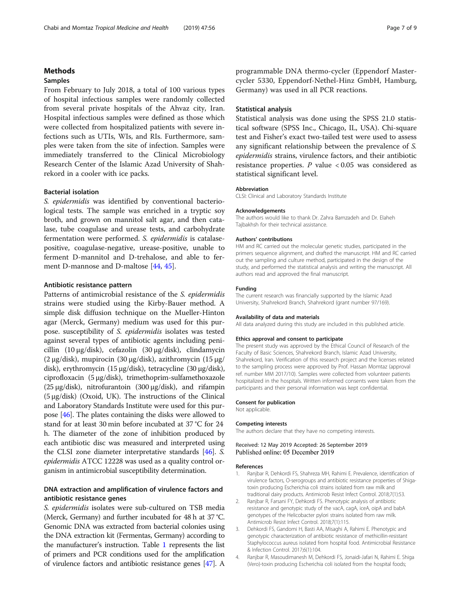# <span id="page-6-0"></span>Methods

# Samples

From February to July 2018, a total of 100 various types of hospital infectious samples were randomly collected from several private hospitals of the Ahvaz city, Iran. Hospital infectious samples were defined as those which were collected from hospitalized patients with severe infections such as UTIs, WIs, and RIs. Furthermore, samples were taken from the site of infection. Samples were immediately transferred to the Clinical Microbiology Research Center of the Islamic Azad University of Shahrekord in a cooler with ice packs.

# Bacterial isolation

S. epidermidis was identified by conventional bacteriological tests. The sample was enriched in a tryptic soy broth, and grown on mannitol salt agar, and then catalase, tube coagulase and urease tests, and carbohydrate fermentation were performed. S. epidermidis is catalasepositive, coagulase-negative, urease-positive, unable to ferment D-mannitol and D-trehalose, and able to ferment D-mannose and D-maltose [[44](#page-8-0), [45](#page-8-0)].

# Antibiotic resistance pattern

Patterns of antimicrobial resistance of the S. epidermidis strains were studied using the Kirby-Bauer method. A simple disk diffusion technique on the Mueller-Hinton agar (Merck, Germany) medium was used for this purpose. susceptibility of S. epidermidis isolates was tested against several types of antibiotic agents including penicillin (10 μg/disk), cefazolin (30 μg/disk), clindamycin (2 μg/disk), mupirocin (30 μg/disk), azithromycin (15 μg/ disk), erythromycin (15 μg/disk), tetracycline (30 μg/disk), ciprofloxacin (5 μg/disk), trimethoprim-sulfamethoxazole (25 μg/disk), nitrofurantoin (300 μg/disk), and rifampin (5 μg/disk) (Oxoid, UK). The instructions of the Clinical and Laboratory Standards Institute were used for this purpose [[46\]](#page-8-0). The plates containing the disks were allowed to stand for at least 30 min before incubated at 37 °C for 24 h. The diameter of the zone of inhibition produced by each antibiotic disc was measured and interpreted using the CLSI zone diameter interpretative standards [[46](#page-8-0)]. S. epidermidis ATCC 12228 was used as a quality control organism in antimicrobial susceptibility determination.

# DNA extraction and amplification of virulence factors and antibiotic resistance genes

S. epidermidis isolates were sub-cultured on TSB media (Merck, Germany) and further incubated for 48 h at 37 °C. Genomic DNA was extracted from bacterial colonies using the DNA extraction kit (Fermentas, Germany) according to the manufacturer's instruction. Table [1](#page-1-0) represents the list of primers and PCR conditions used for the amplification of virulence factors and antibiotic resistance genes [[47\]](#page-8-0). A programmable DNA thermo-cycler (Eppendorf Mastercycler 5330, Eppendorf-Nethel-Hinz GmbH, Hamburg, Germany) was used in all PCR reactions.

# Statistical analysis

Statistical analysis was done using the SPSS 21.0 statistical software (SPSS Inc., Chicago, IL, USA). Chi-square test and Fisher's exact two-tailed test were used to assess any significant relationship between the prevalence of S. epidermidis strains, virulence factors, and their antibiotic resistance properties.  $P$  value < 0.05 was considered as statistical significant level.

## Abbreviation

CLSI: Clinical and Laboratory Standards Institute

#### Acknowledgements

The authors would like to thank Dr. Zahra Bamzadeh and Dr. Elaheh Tajbakhsh for their technical assistance.

### Authors' contributions

HM and RC carried out the molecular genetic studies, participated in the primers sequence alignment, and drafted the manuscript. HM and RC carried out the sampling and culture method, participated in the design of the study, and performed the statistical analysis and writing the manuscript. All authors read and approved the final manuscript.

#### Funding

The current research was financially supported by the Islamic Azad University, Shahrekord Branch, Shahrekord (grant number 97/169).

#### Availability of data and materials

All data analyzed during this study are included in this published article.

#### Ethics approval and consent to participate

The present study was approved by the Ethical Council of Research of the Faculty of Basic Sciences, Shahrekord Branch, Islamic Azad University, Shahrekord, Iran. Verification of this research project and the licenses related to the sampling process were approved by Prof. Hassan Momtaz (approval ref. number MM 2017/10). Samples were collected from volunteer patients hospitalized in the hospitals. Written informed consents were taken from the participants and their personal information was kept confidential.

#### Consent for publication

Not applicable.

# Competing interests

The authors declare that they have no competing interests.

# Received: 12 May 2019 Accepted: 26 September 2019 Published online: 05 December 2019

#### References

- 1. Ranjbar R, Dehkordi FS, Shahreza MH, Rahimi E. Prevalence, identification of virulence factors, O-serogroups and antibiotic resistance properties of Shigatoxin producing Escherichia coli strains isolated from raw milk and traditional dairy products. Antimicrob Resist Infect Control. 2018;7(1):53.
- 2. Ranjbar R, Farsani FY, Dehkordi FS. Phenotypic analysis of antibiotic resistance and genotypic study of the vacA, cagA, iceA, oipA and babA genotypes of the Helicobacter pylori strains isolated from raw milk. Antimicrob Resist Infect Control. 2018;7(1):115.
- 3. Dehkordi FS, Gandomi H, Basti AA, Misaghi A, Rahimi E. Phenotypic and genotypic characterization of antibiotic resistance of methicillin-resistant Staphylococcus aureus isolated from hospital food. Antimicrobial Resistance & Infection Control. 2017;6(1):104.
- 4. Ranjbar R, Masoudimanesh M, Dehkordi FS, Jonaidi-Jafari N, Rahimi E. Shiga (Vero)-toxin producing Escherichia coli isolated from the hospital foods;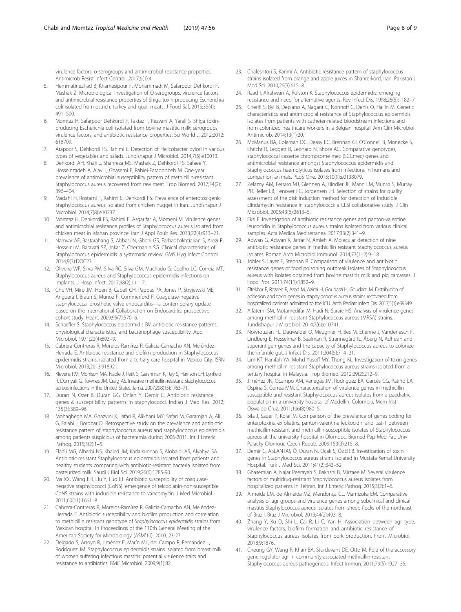<span id="page-7-0"></span>virulence factors, o-serogroups and antimicrobial resistance properties. Antimicrob Resist Infect Control. 2017;6(1):4.

- 5. Hemmatinezhad B, Khamesipour F, Mohammadi M, Safarpoor Dehkordi F, Mashak Z. Microbiological investigation of O-serogroups, virulence factors and antimicrobial resistance properties of Shiga toxin-producing Escherichia coli isolated from ostrich, turkey and quail meats. J Food Saf. 2015;35(4): 491–500.
- 6. Momtaz H, Safarpoor Dehkordi F, Taktaz T, Rezvani A, Yarali S. Shiga toxinproducing Escherichia coli isolated from bovine mastitic milk: serogroups, virulence factors, and antibiotic resistance properties. Sci World J. 2012;2012: 618709.
- 7. Atapoor S, Dehkordi FS, Rahimi E. Detection of Helicobacter pylori in various types of vegetables and salads. Jundishapur J Microbiol. 2014;7(5):e10013.
- 8. Dehkordi AH, Khaji L, Shahreza MS, Mashak Z, Dehkordi FS, Safaee Y, Hosseinzadeh A, Alavi I, Ghasemi E, Rabiei-Faradonbeh M. One-year prevalence of antimicrobial susceptibility pattern of methicillin-resistant Staphylococcus aureus recovered from raw meat. Trop Biomed. 2017;34(2): 396–404.
- 9. Madahi H, Rostami F, Rahimi E, Dehkordi FS. Prevalence of enterotoxigenic Staphylococcus aureus isolated from chicken nugget in Iran. Jundishapur J Microbiol. 2014;7(8):e10237.
- 10. Momtaz H, Dehkordi FS, Rahimi E, Asgarifar A, Momeni M. Virulence genes and antimicrobial resistance profiles of Staphylococcus aureus isolated from chicken meat in Isfahan province. Iran J Appl Poult Res. 2013;22(4):913–21.
- 11. Namvar AE, Bastarahang S, Abbasi N, Ghehi GS, Farhadbakhtiarian S, Arezi P, Hosseini M, Baravati SZ, Jokar Z, Chermahin SG. Clinical characteristics of Staphylococcus epidermidis: a systematic review. GMS Hyg Infect Control. 2014;9(3):DOC23.
- 12. Oliveira WF, Silva PM, Silva RC, Silva GM, Machado G, Coelho LC, Correia MT. Staphylococcus aureus and Staphylococcus epidermidis infections on implants. J Hosp Infect. 2017;98(2):111–7.
- 13. Chu VH, Miro JM, Hoen B, Cabell CH, Pappas PA, Jones P, Stryjewski ME, Anguera I, Braun S, Munoz P, Commerford P. Coagulase-negative staphylococcal prosthetic valve endocarditis—a contemporary update based on the International Collaboration on Endocarditis: prospective cohort study. Heart. 2009;95(7):570–6.
- 14. Schaefler S. Staphylococcus epidermidis BV: antibiotic resistance patterns, physiological characteristics, and bacteriophage susceptibility. Appl Microbiol. 1971;22(4):693–9.
- 15. Cabrera-Contreras R, Morelos-Ramírez R, Galicia-Camacho AN, Meléndez-Herrada E. Antibiotic resistance and biofilm production in Staphylococcus epidermidis strains, isolated from a tertiary care hospital in Mexico City. ISRN Microbiol. 2013;2013:918921.
- 16. Klevens RM, Morrison MA, Nadle J, Petit S, Gershman K, Ray S, Harrison LH, Lynfield R, Dumyati G, Townes JM, Craig AS. Invasive methicillin-resistant Staphylococcus aureus infections in the United States. Jama. 2007;298(15):1763–71.
- 17. Duran N, Ozer B, Duran GG, Onlen Y, Demir C. Antibiotic resistance genes & susceptibility patterns in staphylococci. Indian J Med Res. 2012; 135(3):389–96.
- 18. Mohaghegh MA, Ghazvini K, Jafari R, Alikhani MY, Safari M, Garamjan A, Ali G, Falahi J, Bordbar D. Retrospective study on the prevalence and antibiotic resistance pattern of staphylococcus aureus and staphylococcus epidermidis among patients suspicious of bacteremia during 2006-2011. Int J Enteric Pathog. 2015;3(2):1-5.
- 19. Eladli MG, Alharbi NS, Khaled JM, Kadaikunnan S, Alobaidi AS, Alyahya SA. Antibiotic-resistant Staphylococcus epidermidis isolated from patients and healthy students comparing with antibiotic-resistant bacteria isolated from pasteurized milk. Saudi J Biol Sci. 2019;26(6):1285-90.
- 20. Ma XX, Wang EH, Liu Y, Luo EJ. Antibiotic susceptibility of coagulasenegative staphylococci (CoNS): emergence of teicoplanin-non-susceptible CoNS strains with inducible resistance to vancomycin. J Med Microbiol. 2011;60(11):1661–8.
- 21. Cabrera-Contreras R, Morelos-Ramírez R, Galicia-Camacho AN, Meléndez-Herrada E. Antibiotic susceptibility and biofilm production and correlation to methicillin resistant genotype of Staphylococcus epidermidis strains from Mexican hospital. In Proceedings of the 110th General Meeting of the American Society for Microbiology (ASM'10). 2010; 23-27.
- 22. Delgado S, Arroyo R, Jiménez E, Marín ML, del Campo R, Fernández L, Rodríguez JM. Staphylococcus epidermidis strains isolated from breast milk of women suffering infectious mastitis: potential virulence traits and resistance to antibiotics. BMC Microbiol. 2009;9(1):82.
- 23. Chaleshtori S, Karimi A. Antibiotic resistance pattern of staphylococcus strains isolated from orange and apple juices in Shahre-kord, Iran. Pakistan J Med Sci. 2010;26(3):615–8.
- 24. Raad I, Alrahwan A, Rolston K. Staphylococcus epidermidis: emerging resistance and need for alternative agents. Rev Infect Dis. 1998;26(5):1182–7.
- 25. Cherifi S, Byl B, Deplano A, Nagant C, Nonhoff C, Denis O, Hallin M. Genetic characteristics and antimicrobial resistance of Staphylococcus epidermidis isolates from patients with catheter-related bloodstream infections and from colonized healthcare workers in a Belgian hospital. Ann Clin Microbiol Antimicrob. 2014;13(1):20.
- 26. McManus BA, Coleman DC, Deasy EC, Brennan GI, O'Connell B, Monecke S, Ehricht R, Leggett B, Leonard N, Shore AC, Comparative genotypes, staphylococcal cassette chromosome mec (SCCmec) genes and antimicrobial resistance amongst Staphylococcus epidermidis and Staphylococcus haemolyticus isolates from infections in humans and companion animals. PLoS One. 2015;10(9):e0138079.
- 27. Zelazny AM, Ferraro MJ, Glennen A, Hindler JF, Mann LM, Munro S, Murray PR, Reller LB, Tenover FC, Jorgensen JH. Selection of strains for quality assessment of the disk induction method for detection of inducible clindamycin resistance in staphylococci: a CLSI collaborative study. J Clin Microbiol. 2005;43(6):2613–5.
- 28. Eksi F. Investigation of antibiotic resistance genes and panton-valentine leucocidin in Staphylococcus aureus strains isolated from various clinical samples. Acta Medica Mediterranea. 2017;33(2):341–9.
- 29. Adwan G, Adwan K, Jarrar N, Amleh A. Molecular detection of nine antibiotic resistance genes in methicillin resistant Staphylococcus aureus isolates. Roman Arch Microbiol Immunol. 2014;73(1–2):9–18.
- 30. Johler S, Layer F, Stephan R. Comparison of virulence and antibiotic resistance genes of food poisoning outbreak isolates of Staphylococcus aureus with isolates obtained from bovine mastitis milk and pig carcasses. J Food Prot. 2011;74(11):1852–9.
- 31. Eftekhar F, Rezaee R, Azad M, Azimi H, Goudarzi H, Goudarzi M. Distribution of adhesion and toxin genes in staphylococcus aureus strains recovered from hospitalized patients admitted to the ICU. Arch Pediatr Infect Dis. 2017;5(1):e39349.
- 32. Alfatemi SM, Motamedifar M, Hadi N, Saraie HS. Analysis of virulence genes among methicillin resistant Staphylococcus aureus (MRSA) strains. Jundishapur J Microbiol. 2014;7(6):e10741.
- 33. Nowrouzian FL, Dauwalder O, Meugnier H, Bes M, Etienne J, Vandenesch F, Lindberg E, Hesselmar B, Saalman R, Strannegård IL, Åberg N. Adhesin and superantigen genes and the capacity of Staphylococcus aureus to colonize the infantile gut. J Infect Dis. 2011;204(5):714–21.
- 34. Lim KT, Hanifah YA, Mohd Yusoff MY, Thong KL. Investigation of toxin genes among methicillin resistant Staphylococcus aureus strains isolated from a tertiary hospital in Malaysia. Trop Biomed. 2012;29(2):212–9.
- 35. Jiménez JN, Ocampo AM, Vanegas JM, Rodríguez EA, Garcés CG, Patiño LA, Ospina S, Correa MM. Characterisation of virulence genes in methicillin susceptible and resistant Staphylococcus aureus isolates from a paediatric population in a university hospital of Medellin, Colombia. Mem Inst Oswaldo Cruz. 2011;106(8):980–5.
- 36. Sila J, Sauer P, Kolar M. Comparison of the prevalence of genes coding for enterotoxins, exfoliatins, panton-valentine leukocidin and tsst-1 between methicillin-resistant and methicillin-susceptible isolates of Staphylococcus aureus at the university hospital in Olomouc. Biomed Pap Med Fac Univ Palacky Olomouc Czech Repub. 2009;153(3):215–8.
- 37. Demir C, ASLANTAŞ Ö, Duran N, Ocak S, ÖZER B. Investigation of toxin genes in Staphylococcus aureus strains isolated in Mustafa Kemal University Hospital. Turk J Med Sci. 2011;41(2):343–52.
- 38. Ghasemian A, Najar Peerayeh S, Bakhshi B, Mirzaee M. Several virulence factors of multidrug-resistant Staphylococcus aureus isolates from hospitalized patients in Tehran. Int J Enteric Pathog. 2015;3(2):1–6.
- 39. Almeida LM, de Almeida MZ, Mendonça CL, Mamizuka EM. Comparative analysis of agr groups and virulence genes among subclinical and clinical mastitis Staphylococcus aureus isolates from sheep flocks of the northeast of Brazil. Braz J Microbiol. 2013;44(2):493–8.
- 40. Zhang Y, Xu D, Shi L, Cai R, Li C, Yan H. Association between agr type, virulence factors, biofilm formation and antibiotic resistance of Staphylococcus aureus isolates from pork production. Front Microbiol. 2018;9:1876.
- 41. Cheung GY, Wang R, Khan BA, Sturdevant DE, Otto M. Role of the accessory gene regulator agr in community-associated methicillin-resistant Staphylococcus aureus pathogenesis. Infect Immun. 2011;79(5):1927–35.